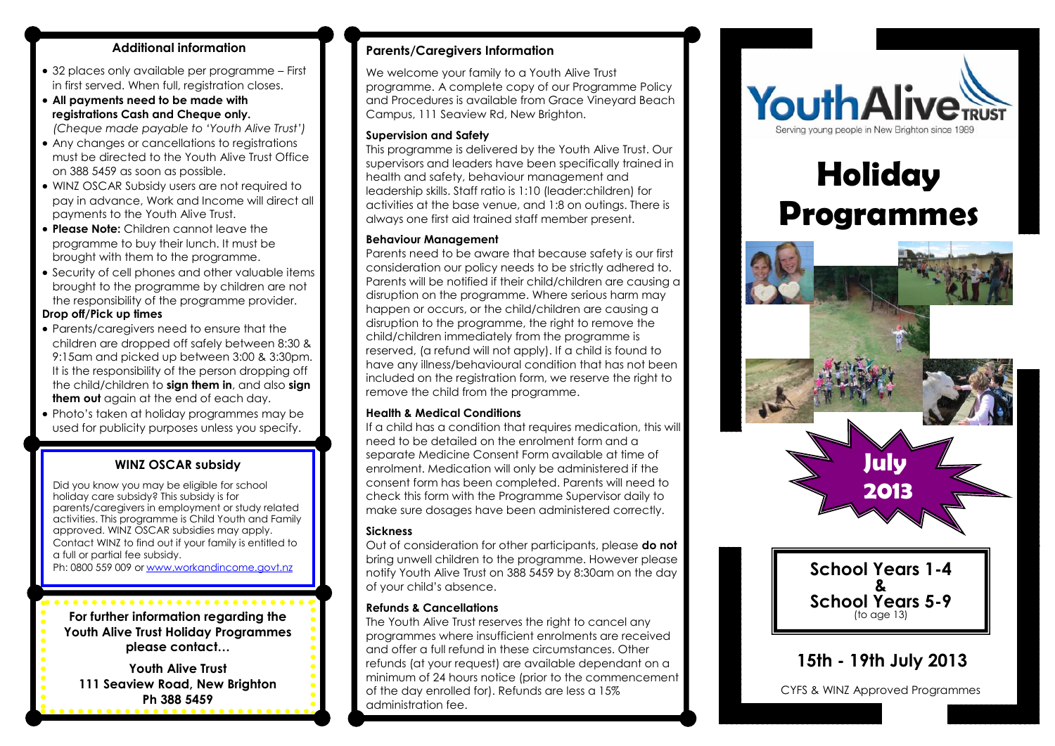#### **Additional information**

- 32 places only available per programme First in first served. When full, registration closes.
- **All payments need to be made with registrations Cash and Cheque only.** *(Cheque made payable to 'Youth Alive Trust')*
- Any changes or cancellations to registrations must be directed to the Youth Alive Trust Office on 388 5459 as soon as possible.
- WINZ OSCAR Subsidy users are not required to pay in advance, Work and Income will direct all payments to the Youth Alive Trust.
- **Please Note:** Children cannot leave the programme to buy their lunch. It must be brought with them to the programme.
- Security of cell phones and other valuable items brought to the programme by children are not the responsibility of the programme provider.

#### **Drop off/Pick up times**

- Parents/caregivers need to ensure that the children are dropped off safely between 8:30 & 9:15am and picked up between 3:00 & 3:30pm. It is the responsibility of the person dropping off the child/children to **sign them in**, and also **sign them out** again at the end of each day.
- Photo's taken at holiday programmes may be used for publicity purposes unless you specify.

#### **WINZ OSCAR subsidy**

Did you know you may be eligible for school holiday care subsidy? This subsidy is for parents/caregivers in employment or study related activities. This programme is Child Youth and Family approved. WINZ OSCAR subsidies may apply. Contact WINZ to find out if your family is entitled to a full or partial fee subsidy. Ph: 0800 559 009 or [www.workandincome.govt.nz](http://www.workandincome.govt.nz/)

**For further information regarding the Youth Alive Trust Holiday Programmes please contact…**

**Youth Alive Trust 111 Seaview Road, New Brighton Ph 388 5459**

#### **Parents/Caregivers Information**

We welcome your family to a Youth Alive Trust programme. A complete copy of our Programme Policy and Procedures is available from Grace Vineyard Beach Campus, 111 Seaview Rd, New Brighton.

#### **Supervision and Safety**

This programme is delivered by the Youth Alive Trust. Our supervisors and leaders have been specifically trained in health and safety, behaviour management and leadership skills. Staff ratio is 1:10 (leader:children) for activities at the base venue, and 1:8 on outings. There is always one first aid trained staff member present.

#### **Behaviour Management**

Parents need to be aware that because safety is our first consideration our policy needs to be strictly adhered to. Parents will be notified if their child/children are causing a disruption on the programme. Where serious harm may happen or occurs, or the child/children are causing a disruption to the programme, the right to remove the child/children immediately from the programme is reserved, (a refund will not apply). If a child is found to have any illness/behavioural condition that has not been included on the registration form, we reserve the right to remove the child from the programme.

#### **Health & Medical Conditions**

If a child has a condition that requires medication, this will need to be detailed on the enrolment form and a separate Medicine Consent Form available at time of enrolment. Medication will only be administered if the consent form has been completed. Parents will need to check this form with the Programme Supervisor daily to make sure dosages have been administered correctly.

#### **Sickness**

Out of consideration for other participants, please **do not**  bring unwell children to the programme. However please notify Youth Alive Trust on 388 5459 by 8:30am on the day of your child's absence.

#### **Refunds & Cancellations**

The Youth Alive Trust reserves the right to cancel any programmes where insufficient enrolments are received and offer a full refund in these circumstances. Other refunds (at your request) are available dependant on a minimum of 24 hours notice (prior to the commencement of the day enrolled for). Refunds are less a 15% administration fee.



# **Holiday Programmes**



**School Years 1-4 & School Years 5-9** (to age 13)

### **15th - 19th July 2013**

CYFS & WINZ Approved Programmes